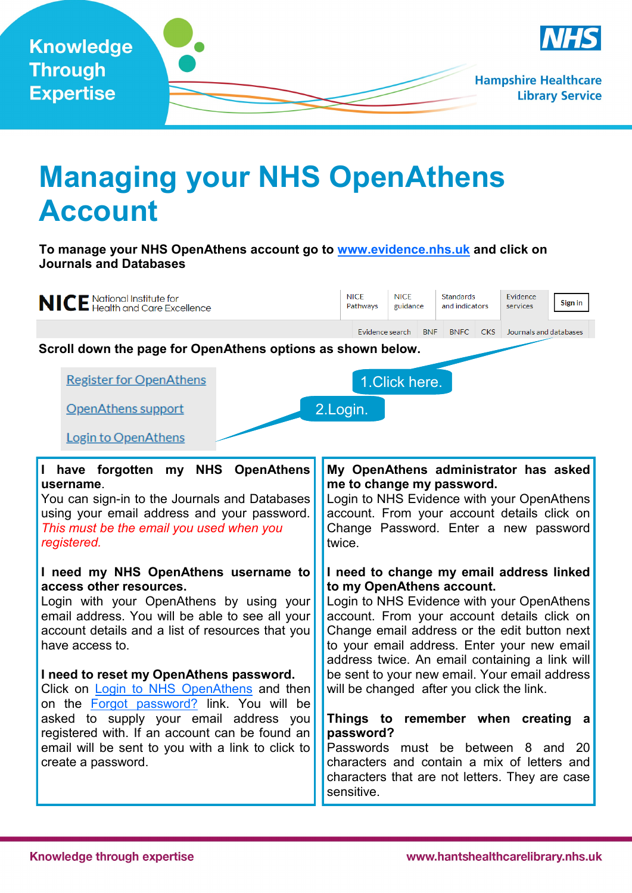

## **Managing your NHS OpenAthens Account**

**To manage your NHS OpenAthens account go to [www.evidence.nhs.uk](http://www.evidence.nhs.uk) and click on Journals and Databases**